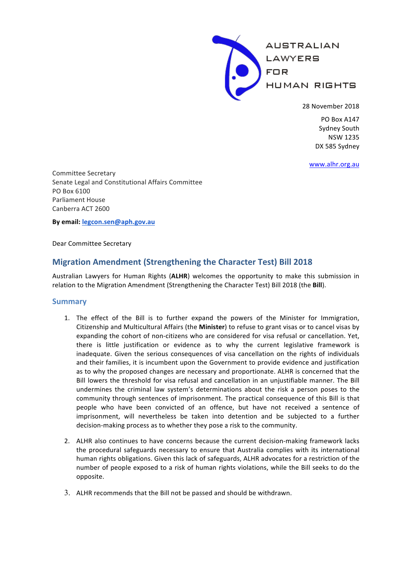**AUSTRALIAN** LAWYERS **FOR HUMAN RIGHTS** 

28 November 2018

PO Box A147 Sydney South NSW 1235 DX 585 Sydney

www.alhr.org.au

Committee Secretary Senate Legal and Constitutional Affairs Committee PO Box 6100 Parliament House Canberra ACT 2600

**By email: legcon.sen@aph.gov.au**

Dear Committee Secretary

# **Migration Amendment (Strengthening the Character Test) Bill 2018**

Australian Lawyers for Human Rights (ALHR) welcomes the opportunity to make this submission in relation to the Migration Amendment (Strengthening the Character Test) Bill 2018 (the **Bill**).

### **Summary**

- 1. The effect of the Bill is to further expand the powers of the Minister for Immigration, Citizenship and Multicultural Affairs (the **Minister**) to refuse to grant visas or to cancel visas by expanding the cohort of non-citizens who are considered for visa refusal or cancellation. Yet, there is little justification or evidence as to why the current legislative framework is inadequate. Given the serious consequences of visa cancellation on the rights of individuals and their families, it is incumbent upon the Government to provide evidence and justification as to why the proposed changes are necessary and proportionate. ALHR is concerned that the Bill lowers the threshold for visa refusal and cancellation in an unjustifiable manner. The Bill undermines the criminal law system's determinations about the risk a person poses to the community through sentences of imprisonment. The practical consequence of this Bill is that people who have been convicted of an offence, but have not received a sentence of imprisonment, will nevertheless be taken into detention and be subjected to a further decision-making process as to whether they pose a risk to the community.
- 2. ALHR also continues to have concerns because the current decision-making framework lacks the procedural safeguards necessary to ensure that Australia complies with its international human rights obligations. Given this lack of safeguards, ALHR advocates for a restriction of the number of people exposed to a risk of human rights violations, while the Bill seeks to do the opposite.
- 3. ALHR recommends that the Bill not be passed and should be withdrawn.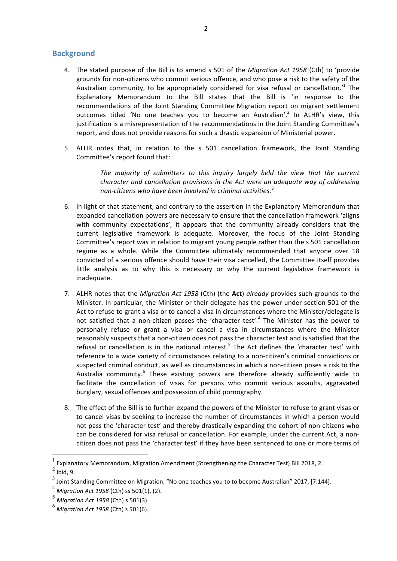## **Background**

- 4. The stated purpose of the Bill is to amend s 501 of the *Migration Act 1958* (Cth) to 'provide grounds for non-citizens who commit serious offence, and who pose a risk to the safety of the Australian community, to be appropriately considered for visa refusal or cancellation.<sup>1</sup> The Explanatory Memorandum to the Bill states that the Bill is 'in response to the recommendations of the Joint Standing Committee Migration report on migrant settlement outcomes titled 'No one teaches you to become an Australian'.<sup>2</sup> In ALHR's view, this justification is a misrepresentation of the recommendations in the Joint Standing Committee's report, and does not provide reasons for such a drastic expansion of Ministerial power.
- 5. ALHR notes that, in relation to the s 501 cancellation framework, the Joint Standing Committee's report found that:

The majority of submitters to this inquiry largely held the view that the current *character and cancellation provisions in the Act were an adequate way of addressing non-citizens* who have been involved in criminal activities.<sup>3</sup>

- 6. In light of that statement, and contrary to the assertion in the Explanatory Memorandum that expanded cancellation powers are necessary to ensure that the cancellation framework 'aligns with community expectations', it appears that the community already considers that the current legislative framework is adequate. Moreover, the focus of the Joint Standing Committee's report was in relation to migrant young people rather than the s 501 cancellation regime as a whole. While the Committee ultimately recommended that anyone over 18 convicted of a serious offence should have their visa cancelled, the Committee itself provides little analysis as to why this is necessary or why the current legislative framework is inadequate.
- 7. ALHR notes that the *Migration Act 1958* (Cth) (the Act) *already* provides such grounds to the Minister. In particular, the Minister or their delegate has the power under section 501 of the Act to refuse to grant a visa or to cancel a visa in circumstances where the Minister/delegate is not satisfied that a non-citizen passes the 'character test'.<sup>4</sup> The Minister has the power to personally refuse or grant a visa or cancel a visa in circumstances where the Minister reasonably suspects that a non-citizen does not pass the character test and is satisfied that the refusal or cancellation is in the national interest.<sup>5</sup> The Act defines the 'character test' with reference to a wide variety of circumstances relating to a non-citizen's criminal convictions or suspected criminal conduct, as well as circumstances in which a non-citizen poses a risk to the Australia community.<sup>6</sup> These existing powers are therefore already sufficiently wide to facilitate the cancellation of visas for persons who commit serious assaults, aggravated burglary, sexual offences and possession of child pornography.
- 8. The effect of the Bill is to further expand the powers of the Minister to refuse to grant visas or to cancel visas by seeking to increase the number of circumstances in which a person would not pass the 'character test' and thereby drastically expanding the cohort of non-citizens who can be considered for visa refusal or cancellation. For example, under the current Act, a noncitizen does not pass the 'character test' if they have been sentenced to one or more terms of

 $^{-1}$  Explanatory Memorandum, Migration Amendment (Strengthening the Character Test) Bill 2018, 2.

 $2$  Ibid, 9.

<sup>3</sup> Joint Standing Committee on Migration, "No one teaches you to to become Australian" 2017, [7.144].

<sup>&</sup>lt;sup>4</sup> Migration Act 1958 (Cth) ss 501(1), (2).

<sup>&</sup>lt;sup>5</sup> Migration Act 1958 (Cth) s 501(3).

 $^6$  *Miaration Act 1958* (Cth) s 501(6).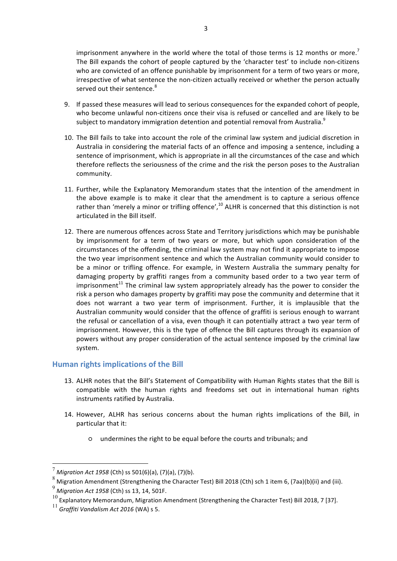imprisonment anywhere in the world where the total of those terms is 12 months or more.<sup>7</sup> The Bill expands the cohort of people captured by the 'character test' to include non-citizens who are convicted of an offence punishable by imprisonment for a term of two vears or more, irrespective of what sentence the non-citizen actually received or whether the person actually served out their sentence.<sup>8</sup>

- 9. If passed these measures will lead to serious consequences for the expanded cohort of people, who become unlawful non-citizens once their visa is refused or cancelled and are likely to be subject to mandatory immigration detention and potential removal from Australia.<sup>9</sup>
- 10. The Bill fails to take into account the role of the criminal law system and judicial discretion in Australia in considering the material facts of an offence and imposing a sentence, including a sentence of imprisonment, which is appropriate in all the circumstances of the case and which therefore reflects the seriousness of the crime and the risk the person poses to the Australian community.
- 11. Further, while the Explanatory Memorandum states that the intention of the amendment in the above example is to make it clear that the amendment is to capture a serious offence rather than 'merely a minor or trifling offence',<sup>10</sup> ALHR is concerned that this distinction is not articulated in the Bill itself.
- 12. There are numerous offences across State and Territory iurisdictions which may be punishable by imprisonment for a term of two years or more, but which upon consideration of the circumstances of the offending, the criminal law system may not find it appropriate to impose the two year imprisonment sentence and which the Australian community would consider to be a minor or trifling offence. For example, in Western Australia the summary penalty for damaging property by graffiti ranges from a community based order to a two year term of imprisonment<sup>11</sup> The criminal law system appropriately already has the power to consider the risk a person who damages property by graffiti may pose the community and determine that it does not warrant a two year term of imprisonment. Further, it is implausible that the Australian community would consider that the offence of graffiti is serious enough to warrant the refusal or cancellation of a visa, even though it can potentially attract a two year term of imprisonment. However, this is the type of offence the Bill captures through its expansion of powers without any proper consideration of the actual sentence imposed by the criminal law system.

## **Human rights implications of the Bill**

- 13. ALHR notes that the Bill's Statement of Compatibility with Human Rights states that the Bill is compatible with the human rights and freedoms set out in international human rights instruments ratified by Australia.
- 14. However, ALHR has serious concerns about the human rights implications of the Bill, in particular that it:
	- $\circ$  undermines the right to be equal before the courts and tribunals; and

 $\frac{7}{1}$  *Migration Act 1958* (Cth) ss 501(6)(a), (7)(a), (7)(b).

 $8 \text{ Migration A,}$  Amendment (Strengthening the Character Test) Bill 2018 (Cth) sch 1 item 6, (7aa)(b)(ii) and (iii).

<sup>&</sup>lt;sup>9</sup> Migration Act 1958 (Cth) ss 13, 14, 501F.

 $^{10}$  Explanatory Memorandum, Migration Amendment (Strengthening the Character Test) Bill 2018, 7 [37].

 $^{11}$  Graffiti Vandalism Act 2016 (WA) s 5.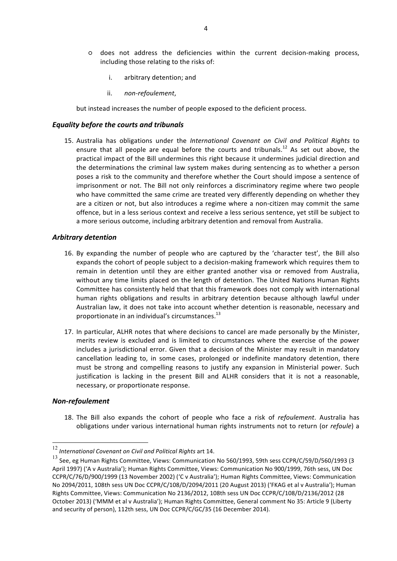- does not address the deficiencies within the current decision-making process, including those relating to the risks of:
	- i. arbitrary detention; and
	- ii. *non-refoulement*,

but instead increases the number of people exposed to the deficient process.

#### *Equality before the courts and tribunals*

15. Australia has obligations under the *International Covenant on Civil and Political Rights* to ensure that all people are equal before the courts and tribunals.<sup>12</sup> As set out above, the practical impact of the Bill undermines this right because it undermines judicial direction and the determinations the criminal law system makes during sentencing as to whether a person poses a risk to the community and therefore whether the Court should impose a sentence of imprisonment or not. The Bill not only reinforces a discriminatory regime where two people who have committed the same crime are treated very differently depending on whether they are a citizen or not, but also introduces a regime where a non-citizen may commit the same offence, but in a less serious context and receive a less serious sentence, yet still be subject to a more serious outcome, including arbitrary detention and removal from Australia.

#### *Arbitrary detention*

- 16. By expanding the number of people who are captured by the 'character test', the Bill also expands the cohort of people subject to a decision-making framework which requires them to remain in detention until they are either granted another visa or removed from Australia, without any time limits placed on the length of detention. The United Nations Human Rights Committee has consistently held that that this framework does not comply with international human rights obligations and results in arbitrary detention because although lawful under Australian law, it does not take into account whether detention is reasonable, necessary and proportionate in an individual's circumstances. $^{13}$
- 17. In particular, ALHR notes that where decisions to cancel are made personally by the Minister, merits review is excluded and is limited to circumstances where the exercise of the power includes a jurisdictional error. Given that a decision of the Minister may result in mandatory cancellation leading to, in some cases, prolonged or indefinite mandatory detention, there must be strong and compelling reasons to justify any expansion in Ministerial power. Such justification is lacking in the present Bill and ALHR considers that it is not a reasonable, necessary, or proportionate response.

#### *Non-refoulement*

18. The Bill also expands the cohort of people who face a risk of *refoulement*. Australia has obligations under various international human rights instruments not to return (or *refoule*) a

<sup>&</sup>lt;sup>12</sup> International Covenant on Civil and Political Rights art 14.

 $^{13}$  See, eg Human Rights Committee, Views: Communication No 560/1993, 59th sess CCPR/C/59/D/560/1993 (3 April 1997) ('A v Australia'); Human Rights Committee, Views: Communication No 900/1999, 76th sess, UN Doc CCPR/C/76/D/900/1999 (13 November 2002) ('C v Australia'); Human Rights Committee, Views: Communication No 2094/2011, 108th sess UN Doc CCPR/C/108/D/2094/2011 (20 August 2013) ('FKAG et al v Australia'); Human Rights Committee, Views: Communication No 2136/2012, 108th sess UN Doc CCPR/C/108/D/2136/2012 (28 October 2013) ('MMM et al v Australia'); Human Rights Committee, General comment No 35: Article 9 (Liberty and security of person), 112th sess, UN Doc CCPR/C/GC/35 (16 December 2014).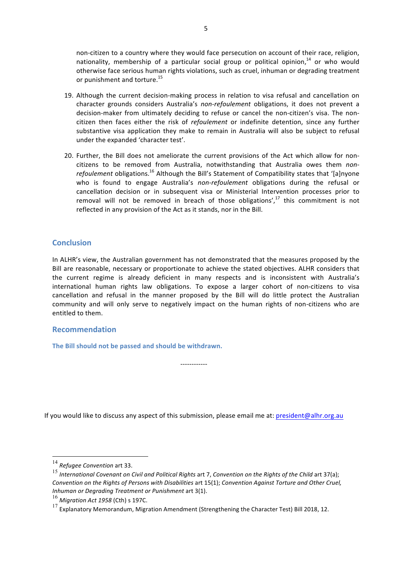non-citizen to a country where they would face persecution on account of their race, religion, nationality, membership of a particular social group or political opinion, $14$  or who would otherwise face serious human rights violations, such as cruel, inhuman or degrading treatment or punishment and torture.<sup>15</sup>

- 19. Although the current decision-making process in relation to visa refusal and cancellation on character grounds considers Australia's non-refoulement obligations, it does not prevent a decision-maker from ultimately deciding to refuse or cancel the non-citizen's visa. The noncitizen then faces either the risk of *refoulement* or indefinite detention, since any further substantive visa application they make to remain in Australia will also be subject to refusal under the expanded 'character test'.
- 20. Further, the Bill does not ameliorate the current provisions of the Act which allow for noncitizens to be removed from Australia, notwithstanding that Australia owes them *nonrefoulement* obligations.<sup>16</sup> Although the Bill's Statement of Compatibility states that '[a]nyone who is found to engage Australia's *non-refoulement* obligations during the refusal or cancellation decision or in subsequent visa or Ministerial Intervention processes prior to removal will not be removed in breach of those obligations', $17$  this commitment is not reflected in any provision of the Act as it stands, nor in the Bill.

## **Conclusion**

In ALHR's view, the Australian government has not demonstrated that the measures proposed by the Bill are reasonable, necessary or proportionate to achieve the stated objectives. ALHR considers that the current regime is already deficient in many respects and is inconsistent with Australia's international human rights law obligations. To expose a larger cohort of non-citizens to visa cancellation and refusal in the manner proposed by the Bill will do little protect the Australian community and will only serve to negatively impact on the human rights of non-citizens who are entitled to them.

### **Recommendation**

The Bill should not be passed and should be withdrawn.

If you would like to discuss any aspect of this submission, please email me at: president@alhr.org.au

------------

<sup>&</sup>lt;sup>14</sup> Refugee Convention art 33.

<sup>15</sup> International Covenant on Civil and Political Rights art 7, Convention on the Rights of the Child art 37(a); *Convention* on the Rights of Persons with Disabilities art 15(1); Convention Against Torture and Other Cruel, *Inhuman or Degrading Treatment or Punishment art 3(1).* 

<sup>16</sup> Migration Act 1958 (Cth) s 197C.

 $^{17}$  Explanatory Memorandum, Migration Amendment (Strengthening the Character Test) Bill 2018, 12.